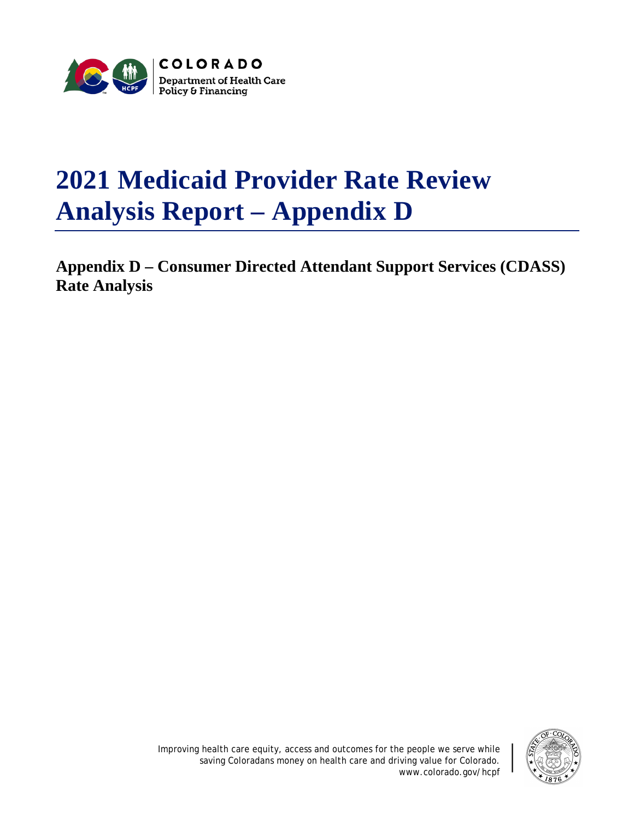

## **2021 Medicaid Provider Rate Review Analysis Report – Appendix D**

**Appendix D – Consumer Directed Attendant Support Services (CDASS) Rate Analysis**

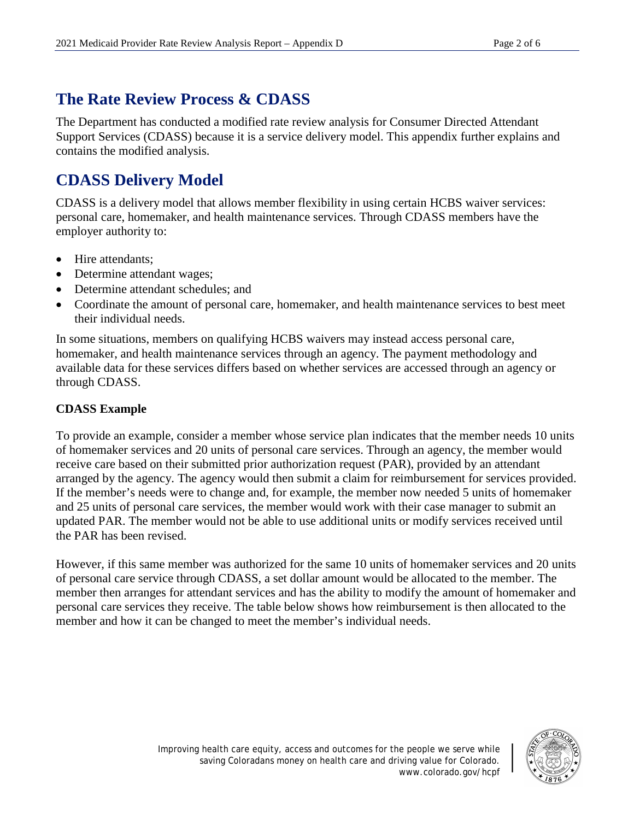## **The Rate Review Process & CDASS**

The Department has conducted a modified rate review analysis for Consumer Directed Attendant Support Services (CDASS) because it is a service delivery model. This appendix further explains and contains the modified analysis.

## **CDASS Delivery Model**

CDASS is a delivery model that allows member flexibility in using certain HCBS waiver services: personal care, homemaker, and health maintenance services. Through CDASS members have the employer authority to:

- Hire attendants;
- Determine attendant wages;
- Determine attendant schedules: and
- Coordinate the amount of personal care, homemaker, and health maintenance services to best meet their individual needs.

In some situations, members on qualifying HCBS waivers may instead access personal care, homemaker, and health maintenance services through an agency. The payment methodology and available data for these services differs based on whether services are accessed through an agency or through CDASS.

## **CDASS Example**

To provide an example, consider a member whose service plan indicates that the member needs 10 units of homemaker services and 20 units of personal care services. Through an agency, the member would receive care based on their submitted prior authorization request (PAR), provided by an attendant arranged by the agency. The agency would then submit a claim for reimbursement for services provided. If the member's needs were to change and, for example, the member now needed 5 units of homemaker and 25 units of personal care services, the member would work with their case manager to submit an updated PAR. The member would not be able to use additional units or modify services received until the PAR has been revised.

However, if this same member was authorized for the same 10 units of homemaker services and 20 units of personal care service through CDASS, a set dollar amount would be allocated to the member. The member then arranges for attendant services and has the ability to modify the amount of homemaker and personal care services they receive. The table below shows how reimbursement is then allocated to the member and how it can be changed to meet the member's individual needs.

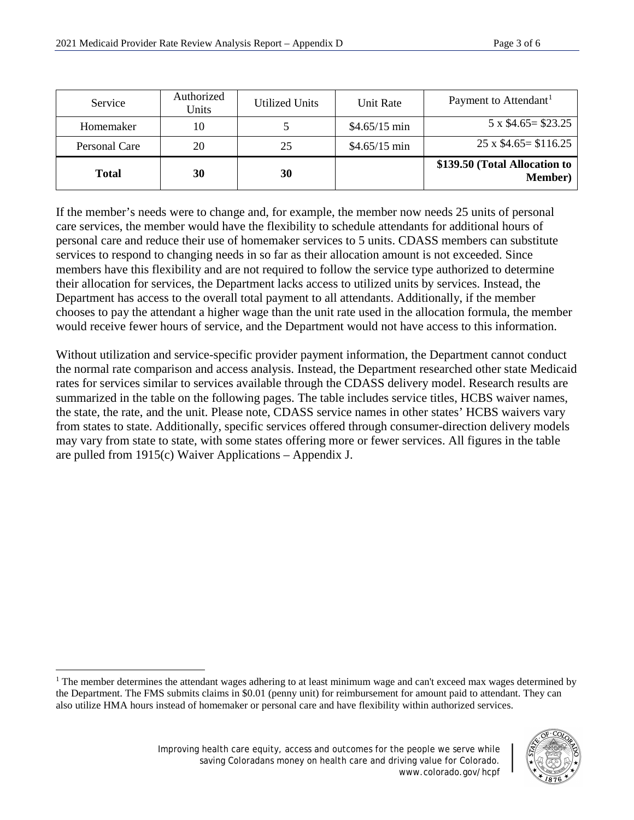| Service       | Authorized<br>Units | Utilized Units | Unit Rate      | Payment to Attendant <sup>1</sup>                |
|---------------|---------------------|----------------|----------------|--------------------------------------------------|
| Homemaker     | 10                  |                | $$4.65/15$ min | $5 \times \$4.65 = \$23.25$                      |
| Personal Care | 20                  | 25             | $$4.65/15$ min | $25 \times $4.65 = $116.25$                      |
| <b>Total</b>  | 30                  | 30             |                | \$139.50 (Total Allocation to<br><b>Member</b> ) |

If the member's needs were to change and, for example, the member now needs 25 units of personal care services, the member would have the flexibility to schedule attendants for additional hours of personal care and reduce their use of homemaker services to 5 units. CDASS members can substitute services to respond to changing needs in so far as their allocation amount is not exceeded. Since members have this flexibility and are not required to follow the service type authorized to determine their allocation for services, the Department lacks access to utilized units by services. Instead, the Department has access to the overall total payment to all attendants. Additionally, if the member chooses to pay the attendant a higher wage than the unit rate used in the allocation formula, the member would receive fewer hours of service, and the Department would not have access to this information.

Without utilization and service-specific provider payment information, the Department cannot conduct the normal rate comparison and access analysis. Instead, the Department researched other state Medicaid rates for services similar to services available through the CDASS delivery model. Research results are summarized in the table on the following pages. The table includes service titles, HCBS waiver names, the state, the rate, and the unit. Please note, CDASS service names in other states' HCBS waivers vary from states to state. Additionally, specific services offered through consumer-direction delivery models may vary from state to state, with some states offering more or fewer services. All figures in the table are pulled from 1915(c) Waiver Applications – Appendix J.

 $\overline{a}$ 



<span id="page-2-0"></span><sup>&</sup>lt;sup>1</sup> The member determines the attendant wages adhering to at least minimum wage and can't exceed max wages determined by the Department. The FMS submits claims in \$0.01 (penny unit) for reimbursement for amount paid to attendant. They can also utilize HMA hours instead of homemaker or personal care and have flexibility within authorized services.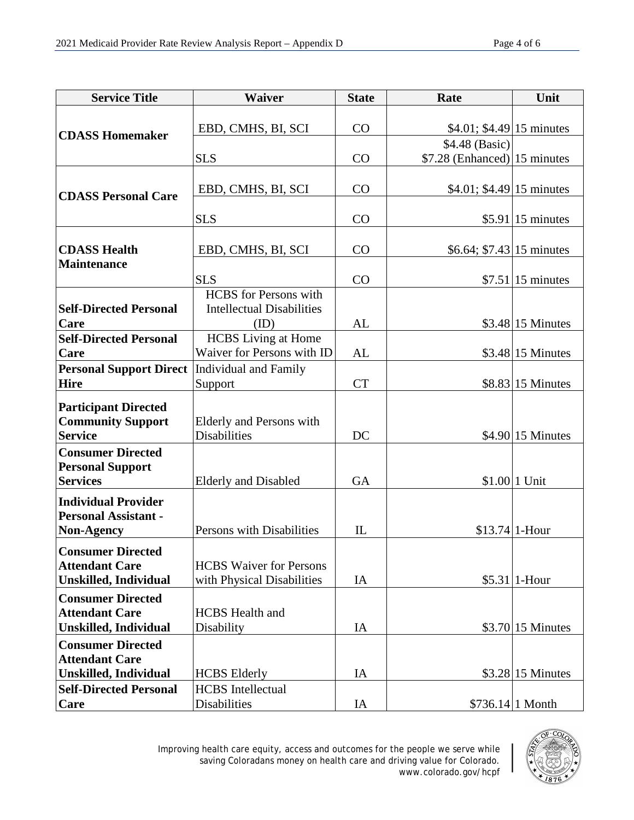| <b>Service Title</b>                                      | Waiver                           | <b>State</b> | Rate                         | Unit               |
|-----------------------------------------------------------|----------------------------------|--------------|------------------------------|--------------------|
| <b>CDASS Homemaker</b>                                    |                                  |              |                              |                    |
|                                                           | EBD, CMHS, BI, SCI               | CO           | \$4.01; \$4.49 15 minutes    |                    |
|                                                           |                                  |              | \$4.48 (Basic)               |                    |
|                                                           | <b>SLS</b>                       | CO           | \$7.28 (Enhanced) 15 minutes |                    |
|                                                           |                                  |              |                              |                    |
|                                                           | EBD, CMHS, BI, SCI               | CO           | $$4.01; $4.49 15$ minutes    |                    |
| <b>CDASS Personal Care</b>                                |                                  |              |                              |                    |
|                                                           | <b>SLS</b>                       | CO           |                              | $$5.91 15$ minutes |
|                                                           |                                  |              |                              |                    |
| <b>CDASS Health</b>                                       | EBD, CMHS, BI, SCI               | CO           | \$6.64; $$7.43$ 15 minutes   |                    |
| <b>Maintenance</b>                                        |                                  |              |                              |                    |
|                                                           | <b>SLS</b>                       | CO           |                              | $$7.51 15$ minutes |
|                                                           | <b>HCBS</b> for Persons with     |              |                              |                    |
| <b>Self-Directed Personal</b>                             | <b>Intellectual Disabilities</b> |              |                              |                    |
| Care                                                      | (ID)                             | AL           |                              | \$3.48 15 Minutes  |
| <b>Self-Directed Personal</b>                             | <b>HCBS</b> Living at Home       |              |                              |                    |
| Care                                                      | Waiver for Persons with ID       | AL           |                              | $$3.48$ 15 Minutes |
| <b>Personal Support Direct</b>   Individual and Family    |                                  |              |                              |                    |
| <b>Hire</b>                                               | Support                          | <b>CT</b>    |                              | $$8.83 15$ Minutes |
| <b>Participant Directed</b>                               |                                  |              |                              |                    |
| <b>Community Support</b>                                  | Elderly and Persons with         |              |                              |                    |
| <b>Service</b>                                            | <b>Disabilities</b>              | DC           |                              | $$4.90 15$ Minutes |
| <b>Consumer Directed</b>                                  |                                  |              |                              |                    |
| <b>Personal Support</b>                                   |                                  |              |                              |                    |
| <b>Services</b>                                           | <b>Elderly and Disabled</b>      | <b>GA</b>    |                              | \$1.00 1 Unit      |
|                                                           |                                  |              |                              |                    |
| <b>Individual Provider</b><br><b>Personal Assistant -</b> |                                  |              |                              |                    |
| <b>Non-Agency</b>                                         | Persons with Disabilities        | IL           |                              | \$13.74 1-Hour     |
|                                                           |                                  |              |                              |                    |
| <b>Consumer Directed</b>                                  |                                  |              |                              |                    |
| <b>Attendant Care</b>                                     | <b>HCBS</b> Waiver for Persons   |              |                              |                    |
| <b>Unskilled, Individual</b>                              | with Physical Disabilities       | IA           |                              | $$5.31$   1-Hour   |
| <b>Consumer Directed</b>                                  |                                  |              |                              |                    |
| <b>Attendant Care</b>                                     | <b>HCBS</b> Health and           |              |                              |                    |
| <b>Unskilled, Individual</b>                              | Disability                       | IA           |                              | $$3.70 15$ Minutes |
| <b>Consumer Directed</b>                                  |                                  |              |                              |                    |
| <b>Attendant Care</b>                                     |                                  |              |                              |                    |
| <b>Unskilled, Individual</b>                              | <b>HCBS</b> Elderly              | IA           |                              | $$3.28$ 15 Minutes |
| <b>Self-Directed Personal</b>                             | <b>HCBS</b> Intellectual         |              |                              |                    |
| Care                                                      | Disabilities                     | IA           |                              | $$736.14 1$ Month  |

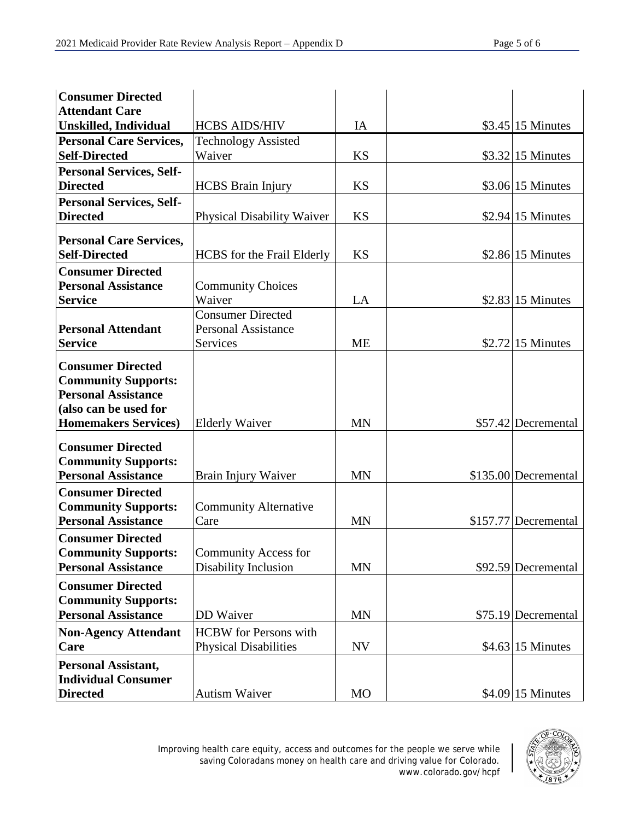| <b>Consumer Directed</b>        |                                   |           |                      |
|---------------------------------|-----------------------------------|-----------|----------------------|
| <b>Attendant Care</b>           |                                   |           |                      |
| <b>Unskilled, Individual</b>    | <b>HCBS AIDS/HIV</b>              | IA        | $$3.45$ 15 Minutes   |
| <b>Personal Care Services,</b>  | <b>Technology Assisted</b>        |           |                      |
| <b>Self-Directed</b>            | Waiver                            | <b>KS</b> | \$3.32 15 Minutes    |
| <b>Personal Services, Self-</b> |                                   |           |                      |
| <b>Directed</b>                 | <b>HCBS</b> Brain Injury          | <b>KS</b> | $$3.06 15$ Minutes   |
| <b>Personal Services, Self-</b> |                                   |           |                      |
| <b>Directed</b>                 | <b>Physical Disability Waiver</b> | <b>KS</b> | $$2.94 15$ Minutes   |
|                                 |                                   |           |                      |
| <b>Personal Care Services,</b>  |                                   |           |                      |
| <b>Self-Directed</b>            | <b>HCBS</b> for the Frail Elderly | <b>KS</b> | $$2.86 15$ Minutes   |
| <b>Consumer Directed</b>        |                                   |           |                      |
| <b>Personal Assistance</b>      | <b>Community Choices</b>          |           |                      |
| <b>Service</b>                  | Waiver                            | LA        | \$2.83 15 Minutes    |
|                                 | <b>Consumer Directed</b>          |           |                      |
| <b>Personal Attendant</b>       | <b>Personal Assistance</b>        |           |                      |
| <b>Service</b>                  | Services                          | <b>ME</b> | $$2.72$  15 Minutes  |
| <b>Consumer Directed</b>        |                                   |           |                      |
| <b>Community Supports:</b>      |                                   |           |                      |
| <b>Personal Assistance</b>      |                                   |           |                      |
| (also can be used for           |                                   |           |                      |
| <b>Homemakers Services)</b>     | <b>Elderly Waiver</b>             | <b>MN</b> | \$57.42 Decremental  |
|                                 |                                   |           |                      |
| <b>Consumer Directed</b>        |                                   |           |                      |
| <b>Community Supports:</b>      |                                   |           |                      |
| <b>Personal Assistance</b>      | Brain Injury Waiver               | <b>MN</b> | \$135.00 Decremental |
| <b>Consumer Directed</b>        |                                   |           |                      |
| <b>Community Supports:</b>      | <b>Community Alternative</b>      |           |                      |
| <b>Personal Assistance</b>      | Care                              | <b>MN</b> | \$157.77 Decremental |
| <b>Consumer Directed</b>        |                                   |           |                      |
| <b>Community Supports:</b>      | <b>Community Access for</b>       |           |                      |
| <b>Personal Assistance</b>      | Disability Inclusion              | <b>MN</b> | \$92.59 Decremental  |
| <b>Consumer Directed</b>        |                                   |           |                      |
| <b>Community Supports:</b>      |                                   |           |                      |
| <b>Personal Assistance</b>      | DD Waiver                         | <b>MN</b> | \$75.19 Decremental  |
| <b>Non-Agency Attendant</b>     | <b>HCBW</b> for Persons with      |           |                      |
| Care                            | <b>Physical Disabilities</b>      | NV        | $$4.63$ 15 Minutes   |
|                                 |                                   |           |                      |
| <b>Personal Assistant,</b>      |                                   |           |                      |
| <b>Individual Consumer</b>      |                                   |           |                      |
| <b>Directed</b>                 | <b>Autism Waiver</b>              | MO        | $$4.09$ 15 Minutes   |